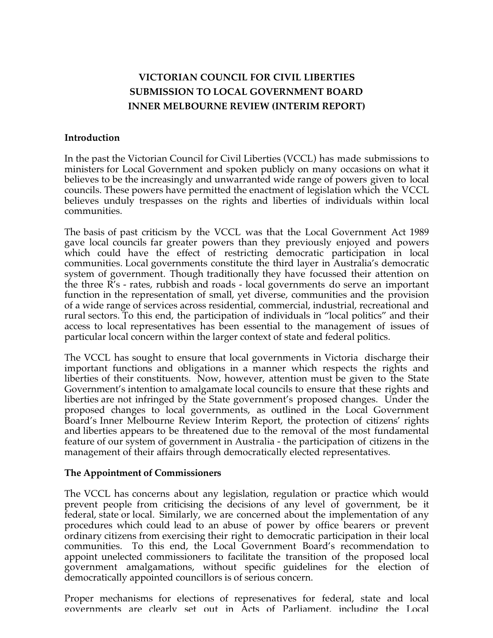## **VICTORIAN COUNCIL FOR CIVIL LIBERTIES SUBMISSION TO LOCAL GOVERNMENT BOARD INNER MELBOURNE REVIEW (INTERIM REPORT)**

## **Introduction**

In the past the Victorian Council for Civil Liberties (VCCL) has made submissions to ministers for Local Government and spoken publicly on many occasions on what it believes to be the increasingly and unwarranted wide range of powers given to local councils. These powers have permitted the enactment of legislation which the VCCL believes unduly trespasses on the rights and liberties of individuals within local communities.

The basis of past criticism by the VCCL was that the Local Government Act 1989 gave local councils far greater powers than they previously enjoyed and powers which could have the effect of restricting democratic participation in local communities. Local governments constitute the third layer in Australia's democratic system of government. Though traditionally they have focussed their attention on the three R's - rates, rubbish and roads - local governments do serve an important function in the representation of small, yet diverse, communities and the provision of a wide range of services across residential, commercial, industrial, recreational and rural sectors. To this end, the participation of individuals in "local politics" and their access to local representatives has been essential to the management of issues of particular local concern within the larger context of state and federal politics.

The VCCL has sought to ensure that local governments in Victoria discharge their important functions and obligations in a manner which respects the rights and liberties of their constituents. Now, however, attention must be given to the State Government's intention to amalgamate local councils to ensure that these rights and liberties are not infringed by the State government's proposed changes. Under the proposed changes to local governments, as outlined in the Local Government Board's Inner Melbourne Review Interim Report, the protection of citizens' rights and liberties appears to be threatened due to the removal of the most fundamental feature of our system of government in Australia - the participation of citizens in the management of their affairs through democratically elected representatives.

## **The Appointment of Commissioners**

The VCCL has concerns about any legislation, regulation or practice which would prevent people from criticising the decisions of any level of government, be it federal, state or local. Similarly, we are concerned about the implementation of any procedures which could lead to an abuse of power by office bearers or prevent ordinary citizens from exercising their right to democratic participation in their local communities. To this end, the Local Government Board's recommendation to appoint unelected commissioners to facilitate the transition of the proposed local government amalgamations, without specific guidelines for the election of democratically appointed councillors is of serious concern.

Proper mechanisms for elections of represenatives for federal, state and local governments are clearly set out in Acts of Parliament, including the Local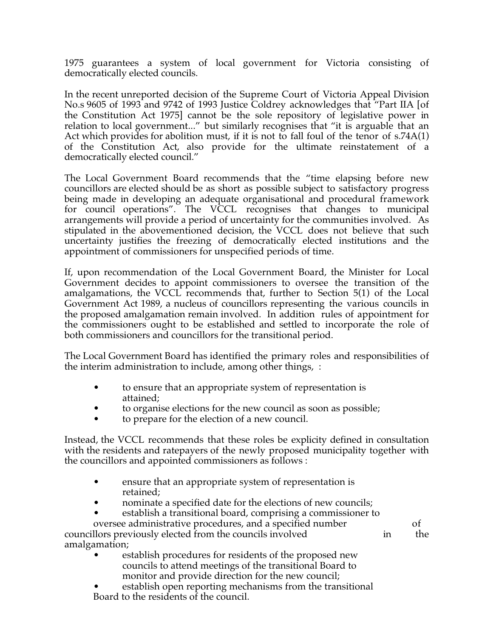1975 guarantees a system of local government for Victoria consisting of democratically elected councils.

In the recent unreported decision of the Supreme Court of Victoria Appeal Division No.s 9605 of 1993 and 9742 of 1993 Justice Coldrey acknowledges that "Part IIA [of the Constitution Act 1975] cannot be the sole repository of legislative power in relation to local government..." but similarly recognises that "it is arguable that an Act which provides for abolition must, if it is not to fall foul of the tenor of s.74A(1) of the Constitution Act, also provide for the ultimate reinstatement of a democratically elected council."

The Local Government Board recommends that the "time elapsing before new councillors are elected should be as short as possible subject to satisfactory progress being made in developing an adequate organisational and procedural framework for council operations". The VCCL recognises that changes to municipal arrangements will provide a period of uncertainty for the communities involved. As stipulated in the abovementioned decision, the VCCL does not believe that such uncertainty justifies the freezing of democratically elected institutions and the appointment of commissioners for unspecified periods of time.

If, upon recommendation of the Local Government Board, the Minister for Local Government decides to appoint commissioners to oversee the transition of the amalgamations, the VCCL recommends that, further to Section 5(1) of the Local Government Act 1989, a nucleus of councillors representing the various councils in the proposed amalgamation remain involved. In addition rules of appointment for the commissioners ought to be established and settled to incorporate the role of both commissioners and councillors for the transitional period.

The Local Government Board has identified the primary roles and responsibilities of the interim administration to include, among other things, :

- to ensure that an appropriate system of representation is attained;
- to organise elections for the new council as soon as possible;
- to prepare for the election of a new council.

Instead, the VCCL recommends that these roles be explicity defined in consultation with the residents and ratepayers of the newly proposed municipality together with the councillors and appointed commissioners as follows :

- ensure that an appropriate system of representation is retained;
- nominate a specified date for the elections of new councils;
- establish a transitional board, comprising a commissioner to

oversee administrative procedures, and a specified number of of oriental oriental procedures, and a specified number of  $\frac{1}{2}$  or  $\frac{1}{2}$  the sum of the councils involved councillors previously elected from the councils involved in the theorem in amalgamation;

- establish procedures for residents of the proposed new councils to attend meetings of the transitional Board to monitor and provide direction for the new council;
- establish open reporting mechanisms from the transitional Board to the residents of the council.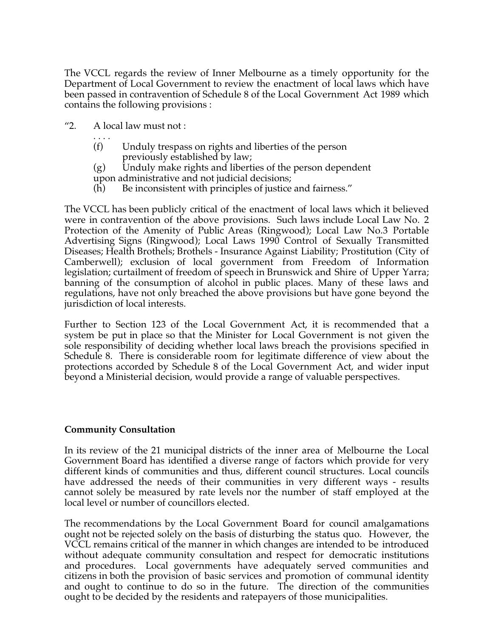The VCCL regards the review of Inner Melbourne as a timely opportunity for the Department of Local Government to review the enactment of local laws which have been passed in contravention of Schedule 8 of the Local Government Act 1989 which contains the following provisions :

- "2. A local law must not :
	- . . . . (f) Unduly trespass on rights and liberties of the person previously established by law;
	- (g) Unduly make rights and liberties of the person dependent upon administrative and not judicial decisions;
	- (h) Be inconsistent with principles of justice and fairness."

The VCCL has been publicly critical of the enactment of local laws which it believed were in contravention of the above provisions. Such laws include Local Law No. 2 Protection of the Amenity of Public Areas (Ringwood); Local Law No.3 Portable Advertising Signs (Ringwood); Local Laws 1990 Control of Sexually Transmitted Diseases; Health Brothels; Brothels - Insurance Against Liability; Prostitution (City of Camberwell); exclusion of local government from Freedom of Information legislation; curtailment of freedom of speech in Brunswick and Shire of Upper Yarra; banning of the consumption of alcohol in public places. Many of these laws and regulations, have not only breached the above provisions but have gone beyond the jurisdiction of local interests.

Further to Section 123 of the Local Government Act, it is recommended that a system be put in place so that the Minister for Local Government is not given the sole responsibility of deciding whether local laws breach the provisions specified in Schedule 8. There is considerable room for legitimate difference of view about the protections accorded by Schedule 8 of the Local Government Act, and wider input beyond a Ministerial decision, would provide a range of valuable perspectives.

## **Community Consultation**

In its review of the 21 municipal districts of the inner area of Melbourne the Local Government Board has identified a diverse range of factors which provide for very different kinds of communities and thus, different council structures. Local councils have addressed the needs of their communities in very different ways - results cannot solely be measured by rate levels nor the number of staff employed at the local level or number of councillors elected.

The recommendations by the Local Government Board for council amalgamations ought not be rejected solely on the basis of disturbing the status quo. However, the VCCL remains critical of the manner in which changes are intended to be introduced without adequate community consultation and respect for democratic institutions and procedures. Local governments have adequately served communities and citizens in both the provision of basic services and promotion of communal identity and ought to continue to do so in the future. The direction of the communities ought to be decided by the residents and ratepayers of those municipalities.